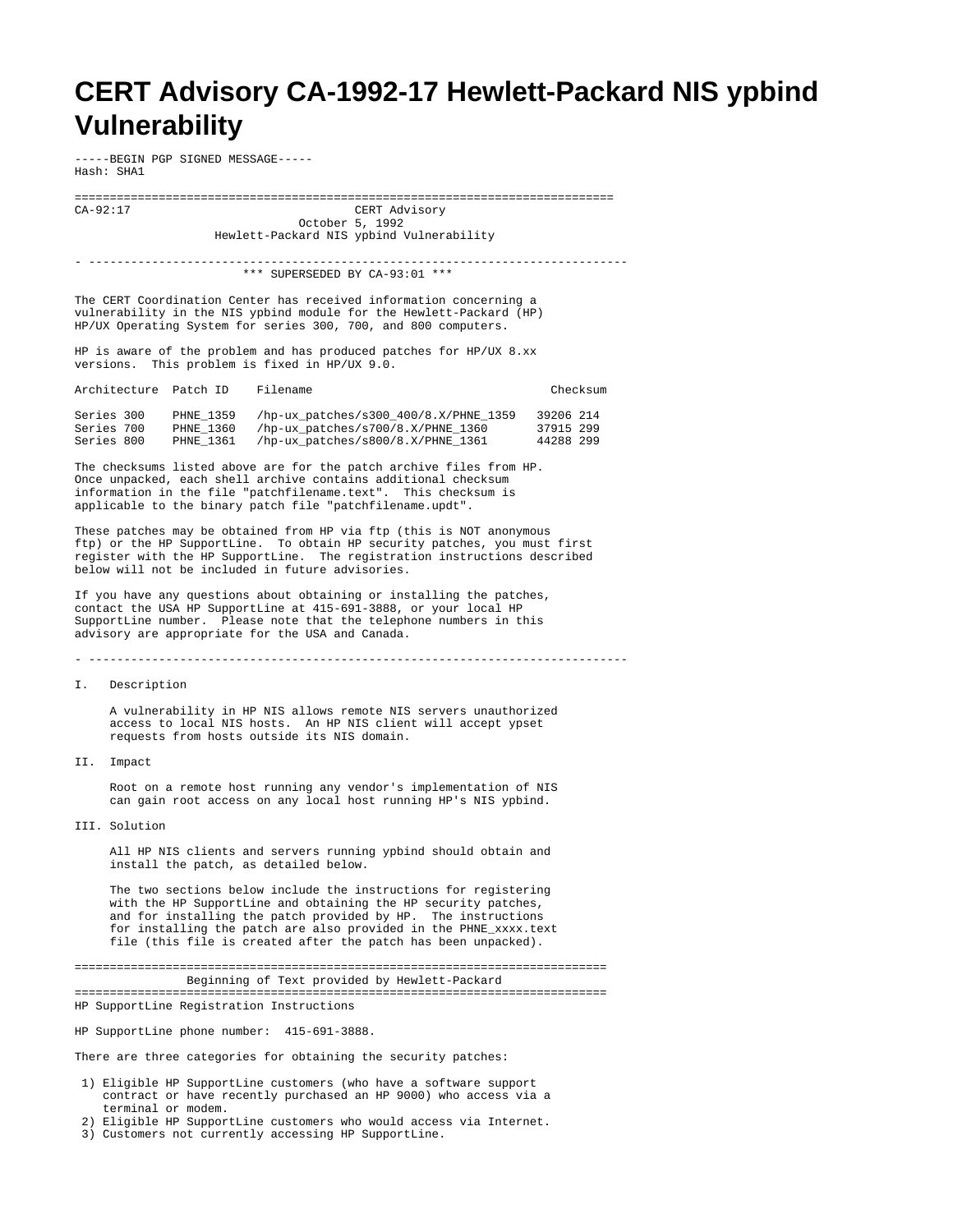## **CERT Advisory CA-1992-17 Hewlett-Packard NIS ypbind Vulnerability**

-----BEGIN PGP SIGNED MESSAGE----- Hash: SHA1

============================================================================= CERT Advisory October 5, 1992 Hewlett-Packard NIS ypbind Vulnerability

- ----------------------------------------------------------------------------- \*\*\* SUPERSEDED BY CA-93:01 \*\*\*

The CERT Coordination Center has received information concerning a vulnerability in the NIS ypbind module for the Hewlett-Packard (HP) HP/UX Operating System for series 300, 700, and 800 computers.

HP is aware of the problem and has produced patches for HP/UX 8.xx versions. This problem is fixed in HP/UX 9.0.

| Architecture Patch ID |           | Filename                              | Checksum  |
|-----------------------|-----------|---------------------------------------|-----------|
| Series 300            | PHNE 1359 | /hp-ux patches/s300 400/8.X/PHNE 1359 | 39206 214 |
| Series 700            | PHNE 1360 | /hp-ux patches/s700/8.X/PHNE 1360     | 37915 299 |
| Series 800            | PHNE 1361 | /hp-ux_patches/s800/8.X/PHNE 1361     | 44288 299 |

The checksums listed above are for the patch archive files from HP. Once unpacked, each shell archive contains additional checksum information in the file "patchfilename.text". This checksum is applicable to the binary patch file "patchfilename.updt".

These patches may be obtained from HP via ftp (this is NOT anonymous ftp) or the HP SupportLine. To obtain HP security patches, you must first register with the HP SupportLine. The registration instructions described below will not be included in future advisories.

If you have any questions about obtaining or installing the patches, contact the USA HP SupportLine at 415-691-3888, or your local HP SupportLine number. Please note that the telephone numbers in this advisory are appropriate for the USA and Canada.

- -----------------------------------------------------------------------------

I. Description

 A vulnerability in HP NIS allows remote NIS servers unauthorized access to local NIS hosts. An HP NIS client will accept ypset requests from hosts outside its NIS domain.

II. Impact

 Root on a remote host running any vendor's implementation of NIS can gain root access on any local host running HP's NIS ypbind.

III. Solution

 All HP NIS clients and servers running ypbind should obtain and install the patch, as detailed below.

 The two sections below include the instructions for registering with the HP SupportLine and obtaining the HP security patches, and for installing the patch provided by HP. The instructions for installing the patch are also provided in the PHNE\_xxxx.text file (this file is created after the patch has been unpacked).

============================================================================ Beginning of Text provided by Hewlett-Packard

============================================================================ HP SupportLine Registration Instructions

HP SupportLine phone number: 415-691-3888.

There are three categories for obtaining the security patches:

- 1) Eligible HP SupportLine customers (who have a software support contract or have recently purchased an HP 9000) who access via a terminal or modem.
- 2) Eligible HP SupportLine customers who would access via Internet.
- 3) Customers not currently accessing HP SupportLine.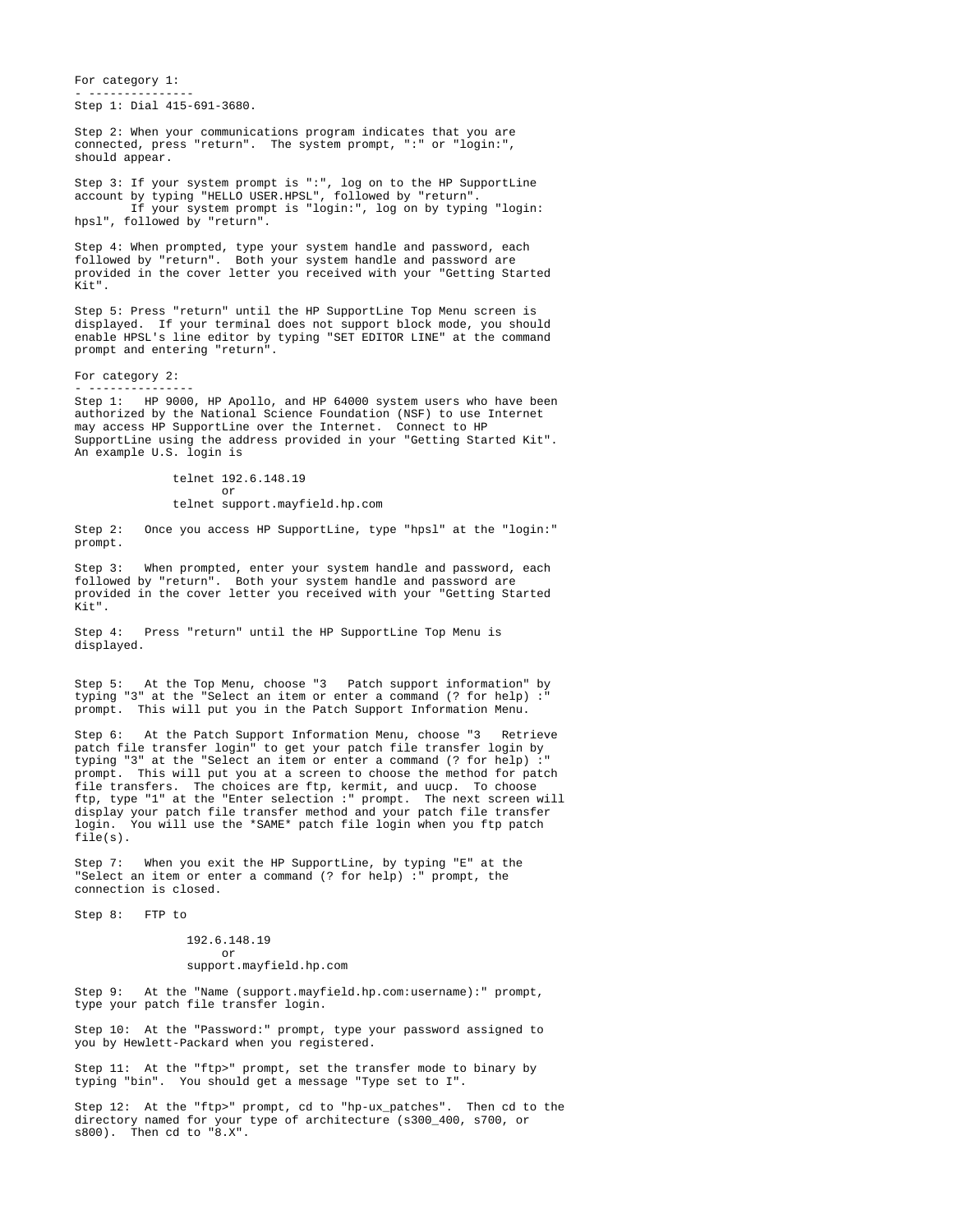For category 1: - ---------------

Step 1: Dial 415-691-3680.

Step 2: When your communications program indicates that you are connected, press "return". The system prompt, ":" or "login:", should appear.

Step 3: If your system prompt is ":", log on to the HP SupportLine account by typing "HELLO USER.HPSL", followed by "return". If your system prompt is "login:", log on by typing "login: hpsl", followed by "return".

Step 4: When prompted, type your system handle and password, each followed by "return". Both your system handle and password are provided in the cover letter you received with your "Getting Started  $K + "$ 

Step 5: Press "return" until the HP SupportLine Top Menu screen is displayed. If your terminal does not support block mode, you should enable HPSL's line editor by typing "SET EDITOR LINE" at the command prompt and entering "return".

For category 2: - ---------------

Step 1: HP 9000, HP Apollo, and HP 64000 system users who have been authorized by the National Science Foundation (NSF) to use Internet may access HP SupportLine over the Internet. Connect to HP SupportLine using the address provided in your "Getting Started Kit". An example U.S. login is

 telnet 192.6.148.19 or

## telnet support.mayfield.hp.com

Step 2: Once you access HP SupportLine, type "hpsl" at the "login:" prompt.

Step 3: When prompted, enter your system handle and password, each followed by "return". Both your system handle and password are provided in the cover letter you received with your "Getting Started  $K + "$ 

Step 4: Press "return" until the HP SupportLine Top Menu is displayed.

Step 5: At the Top Menu, choose "3 Patch support information" by typing "3" at the "Select an item or enter a command (? for help)  $:\overline{S}$ prompt. This will put you in the Patch Support Information Menu.

Step 6: At the Patch Support Information Menu, choose "3 Retrieve patch file transfer login" to get your patch file transfer login by typing "3" at the "Select an item or enter a command (? for help) :" prompt. This will put you at a screen to choose the method for patch file transfers. The choices are ftp, kermit, and uucp. To choose ftp, type "1" at the "Enter selection :" prompt. The next screen will display your patch file transfer method and your patch file transfer login. You will use the \*SAME\* patch file login when you ftp patch file(s).

Step 7: When you exit the HP SupportLine, by typing "E" at the "Select an item or enter a command (? for help) :" prompt, the connection is closed.

Step 8: FTP to

 192.6.148.19 or support.mayfield.hp.com

Step 9: At the "Name (support.mayfield.hp.com:username):" prompt, type your patch file transfer login.

Step 10: At the "Password:" prompt, type your password assigned to you by Hewlett-Packard when you registered.

Step 11: At the "ftp>" prompt, set the transfer mode to binary by typing "bin". You should get a message "Type set to I".

Step 12: At the "ftp>" prompt, cd to "hp-ux\_patches". Then cd to the directory named for your type of architecture (s300\_400, s700, or s800). Then cd to "8.X".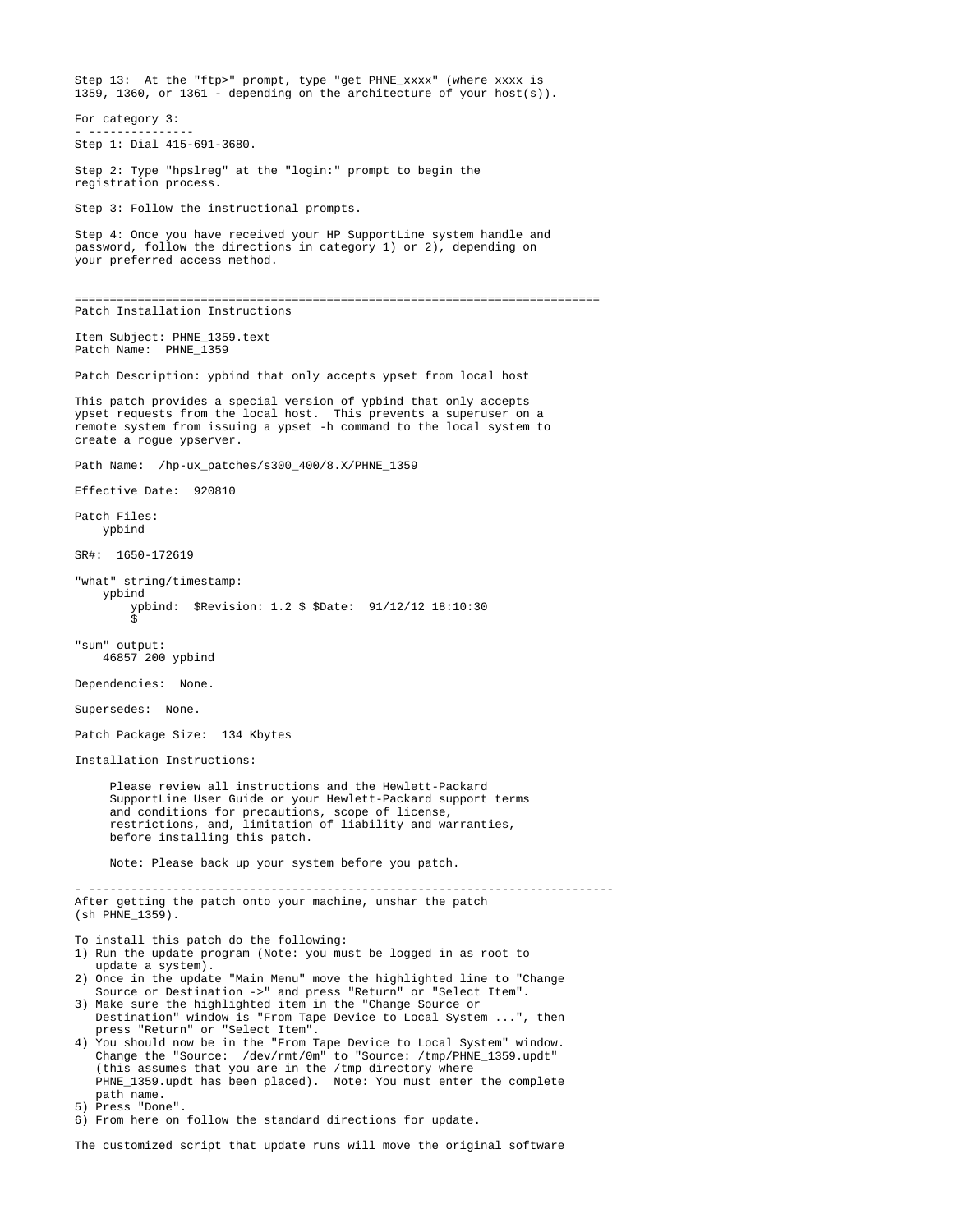Step 13: At the "ftp>" prompt, type "get PHNE\_xxxx" (where xxxx is 1359, 1360, or 1361 - depending on the architecture of your host(s)). For category 3: - --------------- Step 1: Dial 415-691-3680. Step 2: Type "hpslreg" at the "login:" prompt to begin the registration process. Step 3: Follow the instructional prompts. Step 4: Once you have received your HP SupportLine system handle and password, follow the directions in category 1) or 2), depending on your preferred access method. =========================================================================== Patch Installation Instructions Item Subject: PHNE\_1359.text Patch Name: PHNE 1359 Patch Description: ypbind that only accepts ypset from local host This patch provides a special version of ypbind that only accepts ypset requests from the local host. This prevents a superuser on a remote system from issuing a ypset -h command to the local system to create a rogue ypserver. Path Name: /hp-ux patches/s300\_400/8.X/PHNE\_1359 Effective Date: 920810 Patch Files: ypbind SR#: 1650-172619 "what" string/timestamp: ypbind ypbind: \$Revision: 1.2 \$ \$Date: 91/12/12 18:10:30  $\ddot{s}$ "sum" output: 46857 200 ypbind Dependencies: None. Supersedes: None. Patch Package Size: 134 Kbytes Installation Instructions: Please review all instructions and the Hewlett-Packard SupportLine User Guide or your Hewlett-Packard support terms and conditions for precautions, scope of license, restrictions, and, limitation of liability and warranties, before installing this patch. Note: Please back up your system before you patch. - --------------------------------------------------------------------------- After getting the patch onto your machine, unshar the patch (sh PHNE\_1359). To install this patch do the following: 1) Run the update program (Note: you must be logged in as root to update a system). 2) Once in the update "Main Menu" move the highlighted line to "Change Source or Destination ->" and press "Return" or "Select Item". 3) Make sure the highlighted item in the "Change Source or Destination" window is "From Tape Device to Local System ...", then press "Return" or "Select Item". 4) You should now be in the "From Tape Device to Local System" window. Change the "Source: /dev/rmt/0m" to "Source: /tmp/PHNE\_1359.updt" (this assumes that you are in the /tmp directory where PHNE\_1359.updt has been placed). Note: You must enter the complete path name. 5) Press "Done". 6) From here on follow the standard directions for update.

The customized script that update runs will move the original software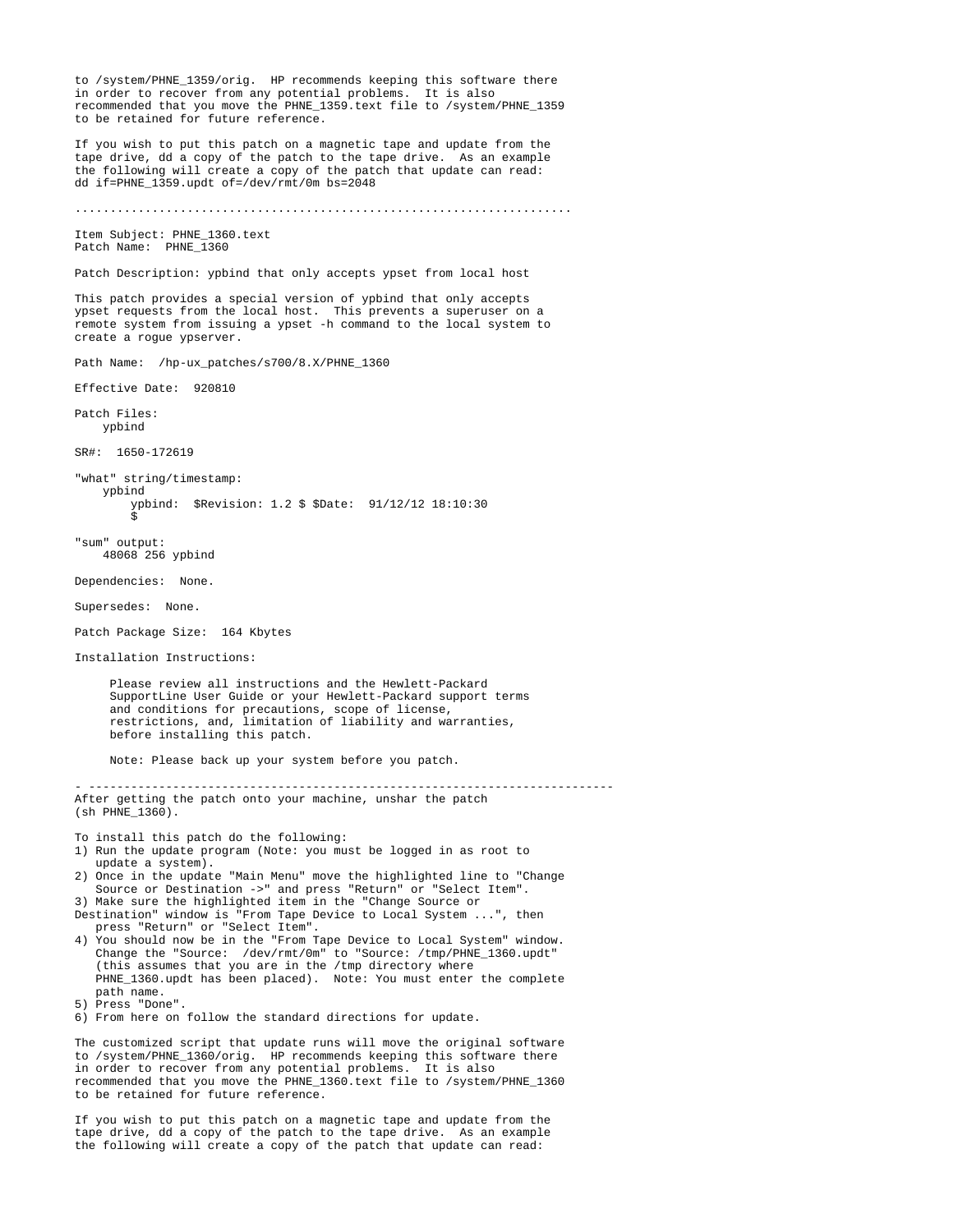to /system/PHNE\_1359/orig. HP recommends keeping this software there in order to recover from any potential problems. It is also recommended that you move the PHNE\_1359.text file to /system/PHNE\_1359 to be retained for future reference. If you wish to put this patch on a magnetic tape and update from the tape drive, dd a copy of the patch to the tape drive. As an example the following will create a copy of the patch that update can read: dd if=PHNE\_1359.updt of=/dev/rmt/0m bs=2048 ....................................................................... Item Subject: PHNE\_1360.text Patch Name: PHNE 1360 Patch Description: ypbind that only accepts ypset from local host This patch provides a special version of ypbind that only accepts ypset requests from the local host. This prevents a superuser on a remote system from issuing a ypset -h command to the local system to create a rogue ypserver. Path Name: /hp-ux\_patches/s700/8.X/PHNE\_1360 Effective Date: 920810 Patch Files: ypbind SR#: 1650-172619 "what" string/timestamp: ypbind ypbind: \$Revision: 1.2 \$ \$Date: 91/12/12 18:10:30  $\ddot{s}$ "sum" output: 48068 256 ypbind Dependencies: None. Supersedes: None. Patch Package Size: 164 Kbytes Installation Instructions: Please review all instructions and the Hewlett-Packard SupportLine User Guide or your Hewlett-Packard support terms and conditions for precautions, scope of license, restrictions, and, limitation of liability and warranties, before installing this patch. Note: Please back up your system before you patch. - --------------------------------------------------------------------------- After getting the patch onto your machine, unshar the patch (sh PHNE\_1360). To install this patch do the following: 1) Run the update program (Note: you must be logged in as root to update a system). 2) Once in the update "Main Menu" move the highlighted line to "Change Source or Destination ->" and press "Return" or "Select Item". 3) Make sure the highlighted item in the "Change Source or Destination" window is "From Tape Device to Local System ...", then press "Return" or "Select Item". 4) You should now be in the "From Tape Device to Local System" window. Change the "Source: /dev/rmt/0m" to "Source: /tmp/PHNE\_1360.updt" (this assumes that you are in the /tmp directory where PHNE\_1360.updt has been placed). Note: You must enter the complete path name. 5) Press "Done". 6) From here on follow the standard directions for update. The customized script that update runs will move the original software to /system/PHNE\_1360/orig. HP recommends keeping this software there in order to recover from any potential problems. It is also recommended that you move the PHNE\_1360.text file to /system/PHNE\_1360 to be retained for future reference.

If you wish to put this patch on a magnetic tape and update from the tape drive, dd a copy of the patch to the tape drive. As an example the following will create a copy of the patch that update can read: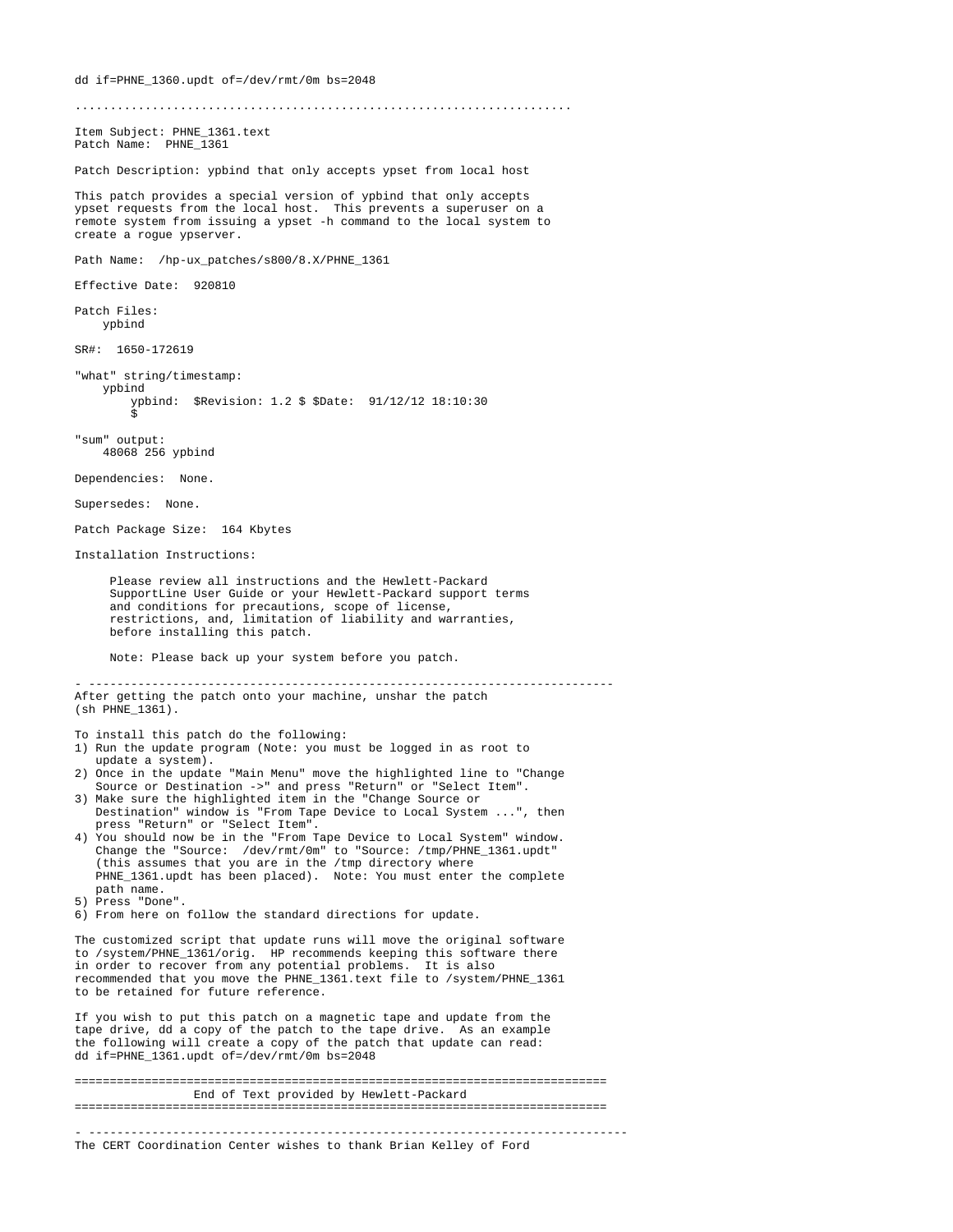....................................................................... Item Subject: PHNE\_1361.text Patch Name: PHNE 1361 Patch Description: ypbind that only accepts ypset from local host This patch provides a special version of ypbind that only accepts ypset requests from the local host. This prevents a superuser on a remote system from issuing a ypset -h command to the local system to create a rogue ypserver. Path Name: /hp-ux\_patches/s800/8.X/PHNE\_1361 Effective Date: 920810 Patch Files: ypbind SR#: 1650-172619 "what" string/timestamp: ypbind ypbind: \$Revision: 1.2 \$ \$Date: 91/12/12 18:10:30  $\ddot{s}$ "sum" output: 48068 256 ypbind Dependencies: None. Supersedes: None. Patch Package Size: 164 Kbytes Installation Instructions: Please review all instructions and the Hewlett-Packard SupportLine User Guide or your Hewlett-Packard support terms and conditions for precautions, scope of license, restrictions, and, limitation of liability and warranties, before installing this patch. Note: Please back up your system before you patch. - --------------------------------------------------------------------------- After getting the patch onto your machine, unshar the patch (sh PHNE\_1361). To install this patch do the following: 1) Run the update program (Note: you must be logged in as root to update a system). 2) Once in the update "Main Menu" move the highlighted line to "Change Source or Destination ->" and press "Return" or "Select Item". 3) Make sure the highlighted item in the "Change Source or Destination" window is "From Tape Device to Local System ...", then press "Return" or "Select Item". 4) You should now be in the "From Tape Device to Local System" window. Change the "Source: /dev/rmt/0m" to "Source: /tmp/PHNE\_1361.updt" (this assumes that you are in the /tmp directory where PHNE\_1361.updt has been placed). Note: You must enter the complete path name. 5) Press "Done". 6) From here on follow the standard directions for update. The customized script that update runs will move the original software to /system/PHNE\_1361/orig. HP recommends keeping this software there in order to recover from any potential problems. It is also recommended that you move the PHNE\_1361.text file to /system/PHNE\_1361 to be retained for future reference. If you wish to put this patch on a magnetic tape and update from the tape drive, dd a copy of the patch to the tape drive. As an example the following will create a copy of the patch that update can read: dd if=PHNE\_1361.updt of=/dev/rmt/0m bs=2048 ============================================================================ End of Text provided by Hewlett-Packard ============================================================================

dd if=PHNE\_1360.updt of=/dev/rmt/0m bs=2048

- ----------------------------------------------------------------------------- The CERT Coordination Center wishes to thank Brian Kelley of Ford